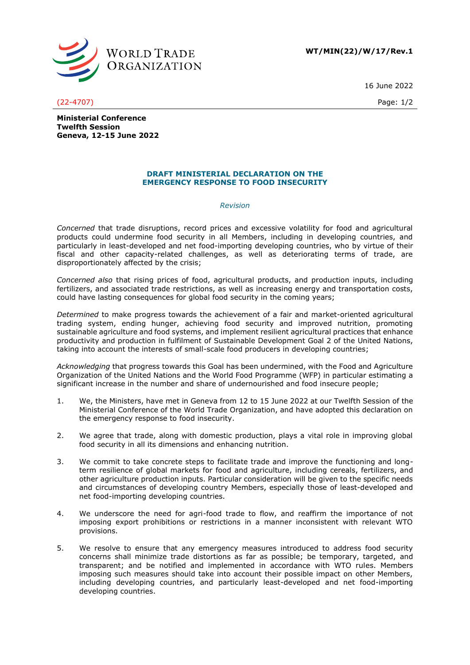

**WT/MIN(22)/W/17/Rev.1**

16 June 2022

(22-4707) Page: 1/2

**Ministerial Conference Twelfth Session Geneva, 12-15 June 2022**

## **DRAFT MINISTERIAL DECLARATION ON THE EMERGENCY RESPONSE TO FOOD INSECURITY**

## *Revision*

*Concerned* that trade disruptions, record prices and excessive volatility for food and agricultural products could undermine food security in all Members, including in developing countries, and particularly in least-developed and net food-importing developing countries, who by virtue of their fiscal and other capacity-related challenges, as well as deteriorating terms of trade, are disproportionately affected by the crisis;

*Concerned also* that rising prices of food, agricultural products, and production inputs, including fertilizers, and associated trade restrictions, as well as increasing energy and transportation costs, could have lasting consequences for global food security in the coming years;

*Determined* to make progress towards the achievement of a fair and market-oriented agricultural trading system, ending hunger, achieving food security and improved nutrition, promoting sustainable agriculture and food systems, and implement resilient agricultural practices that enhance productivity and production in fulfilment of Sustainable Development Goal 2 of the United Nations, taking into account the interests of small-scale food producers in developing countries;

*Acknowledging* that progress towards this Goal has been undermined, with the Food and Agriculture Organization of the United Nations and the World Food Programme (WFP) in particular estimating a significant increase in the number and share of undernourished and food insecure people;

- 1. We, the Ministers, have met in Geneva from 12 to 15 June 2022 at our Twelfth Session of the Ministerial Conference of the World Trade Organization, and have adopted this declaration on the emergency response to food insecurity.
- 2. We agree that trade, along with domestic production, plays a vital role in improving global food security in all its dimensions and enhancing nutrition.
- 3. We commit to take concrete steps to facilitate trade and improve the functioning and longterm resilience of global markets for food and agriculture, including cereals, fertilizers, and other agriculture production inputs. Particular consideration will be given to the specific needs and circumstances of developing country Members, especially those of least-developed and net food-importing developing countries.
- 4. We underscore the need for agri-food trade to flow, and reaffirm the importance of not imposing export prohibitions or restrictions in a manner inconsistent with relevant WTO provisions.
- 5. We resolve to ensure that any emergency measures introduced to address food security concerns shall minimize trade distortions as far as possible; be temporary, targeted, and transparent; and be notified and implemented in accordance with WTO rules. Members imposing such measures should take into account their possible impact on other Members, including developing countries, and particularly least-developed and net food-importing developing countries.